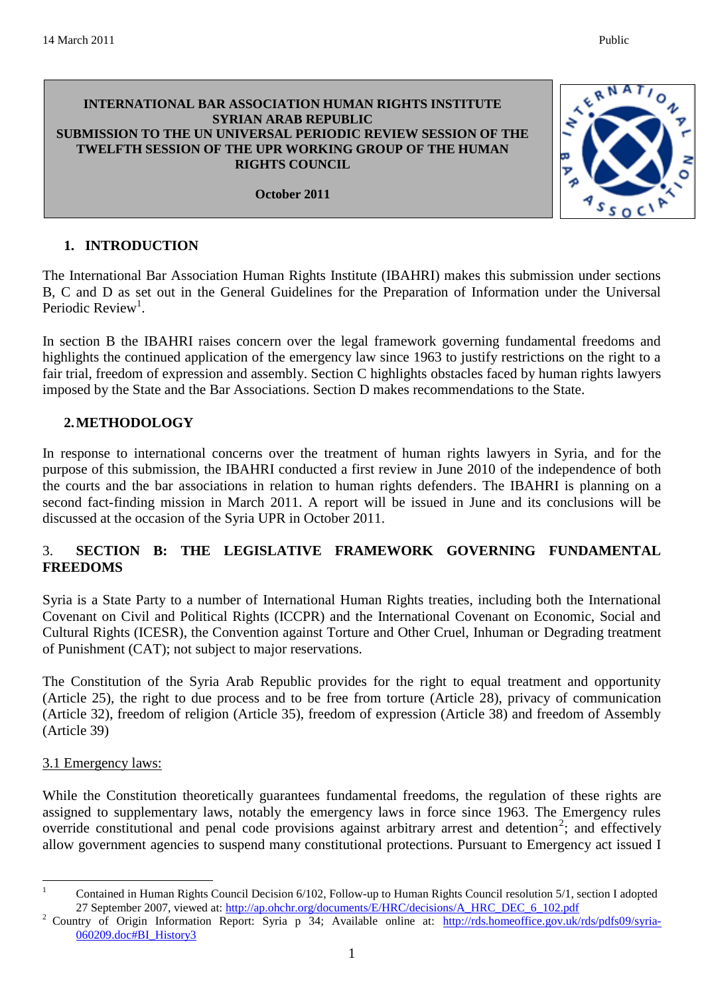#### **INTERNATIONAL BAR ASSOCIATION HUMAN RIGHTS INSTITUTE SYRIAN ARAB REPUBLIC SUBMISSION TO THE UN UNIVERSAL PERIODIC REVIEW SESSION OF THE TWELFTH SESSION OF THE UPR WORKING GROUP OF THE HUMAN RIGHTS COUNCIL**

### **October 2011**

### **1. INTRODUCTION**

The International Bar Association Human Rights Institute (IBAHRI) makes this submission under sections B, C and D as set out in the General Guidelines for the Preparation of Information under the Universal Periodic Review<sup>1</sup>.

In section B the IBAHRI raises concern over the legal framework governing fundamental freedoms and highlights the continued application of the emergency law since 1963 to justify restrictions on the right to a fair trial, freedom of expression and assembly. Section C highlights obstacles faced by human rights lawyers imposed by the State and the Bar Associations. Section D makes recommendations to the State.

#### **2.METHODOLOGY**

In response to international concerns over the treatment of human rights lawyers in Syria, and for the purpose of this submission, the IBAHRI conducted a first review in June 2010 of the independence of both the courts and the bar associations in relation to human rights defenders. The IBAHRI is planning on a second fact-finding mission in March 2011. A report will be issued in June and its conclusions will be discussed at the occasion of the Syria UPR in October 2011.

# 3. **SECTION B: THE LEGISLATIVE FRAMEWORK GOVERNING FUNDAMENTAL FREEDOMS**

Syria is a State Party to a number of International Human Rights treaties, including both the International Covenant on Civil and Political Rights (ICCPR) and the International Covenant on Economic, Social and Cultural Rights (ICESR), the Convention against Torture and Other Cruel, Inhuman or Degrading treatment of Punishment (CAT); not subject to major reservations.

The Constitution of the Syria Arab Republic provides for the right to equal treatment and opportunity (Article 25), the right to due process and to be free from torture (Article 28), privacy of communication (Article 32), freedom of religion (Article 35), freedom of expression (Article 38) and freedom of Assembly (Article 39)

# 3.1 Emergency laws:

<u>.</u>

While the Constitution theoretically guarantees fundamental freedoms, the regulation of these rights are assigned to supplementary laws, notably the emergency laws in force since 1963. The Emergency rules override constitutional and penal code provisions against arbitrary arrest and detention<sup>2</sup>; and effectively allow government agencies to suspend many constitutional protections. Pursuant to Emergency act issued I

<sup>1</sup> Contained in Human Rights Council Decision 6/102, Follow-up to Human Rights Council resolution 5/1, section I adopted 27 September 2007, viewed at: [http://ap.ohchr.org/documents/E/HRC/decisions/A\\_HRC\\_DEC\\_6\\_102.pdf](http://ap.ohchr.org/documents/E/HRC/decisions/A_HRC_DEC_6_102.pdf)

<sup>&</sup>lt;sup>2</sup> Country of Origin Information Report: Syria p 34; Available online at: [http://rds.homeoffice.gov.uk/rds/pdfs09/syria-](http://rds.homeoffice.gov.uk/rds/pdfs09/syria-060209.doc#BI_History3)[060209.doc#BI\\_History3](http://rds.homeoffice.gov.uk/rds/pdfs09/syria-060209.doc#BI_History3)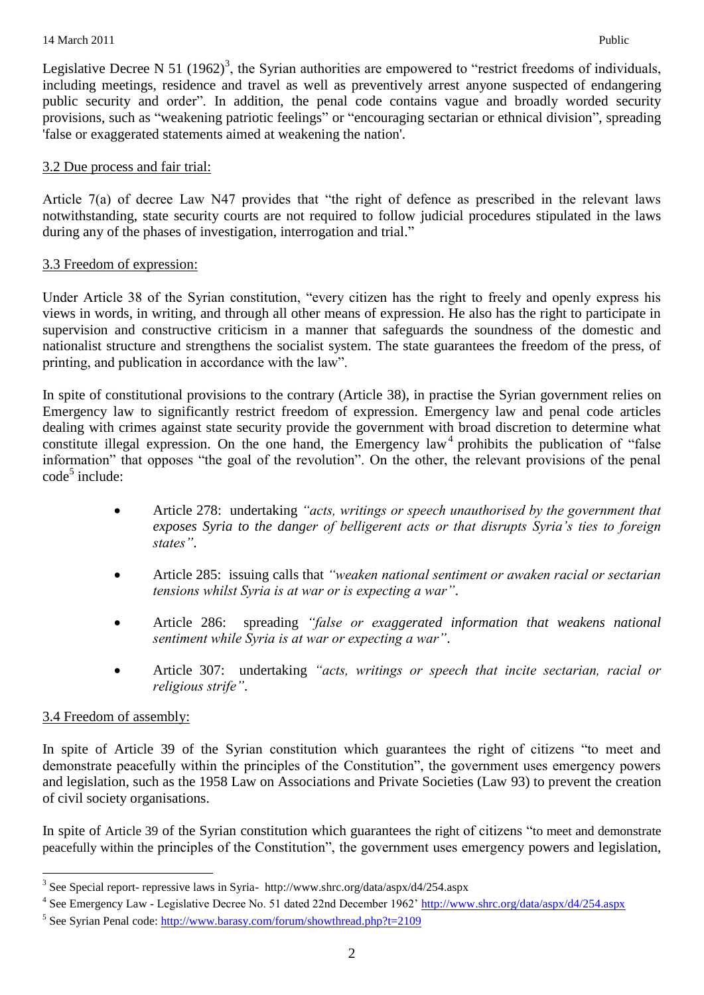Legislative Decree N 51 (1962)<sup>3</sup>, the Syrian authorities are empowered to "restrict freedoms of individuals, including meetings, residence and travel as well as preventively arrest anyone suspected of endangering public security and order". In addition, the penal code contains vague and broadly worded security provisions, such as "weakening patriotic feelings" or "encouraging sectarian or ethnical division", spreading 'false or exaggerated statements aimed at weakening the nation'.

### 3.2 Due process and fair trial:

Article 7(a) of decree Law N47 provides that "the right of defence as prescribed in the relevant laws notwithstanding, state security courts are not required to follow judicial procedures stipulated in the laws during any of the phases of investigation, interrogation and trial."

#### 3.3 Freedom of expression:

Under Article 38 of the Syrian constitution, "every citizen has the right to freely and openly express his views in words, in writing, and through all other means of expression. He also has the right to participate in supervision and constructive criticism in a manner that safeguards the soundness of the domestic and nationalist structure and strengthens the socialist system. The state guarantees the freedom of the press, of printing, and publication in accordance with the law".

In spite of constitutional provisions to the contrary (Article 38), in practise the Syrian government relies on Emergency law to significantly restrict freedom of expression. Emergency law and penal code articles dealing with crimes against state security provide the government with broad discretion to determine what constitute illegal expression. On the one hand, the Emergency  $law<sup>4</sup>$  prohibits the publication of "false" information" that opposes "the goal of the revolution". On the other, the relevant provisions of the penal code<sup>5</sup> include:

- Article 278: undertaking *"acts, writings or speech unauthorised by the government that exposes Syria to the danger of belligerent acts or that disrupts Syria's ties to foreign states"*.
- Article 285: issuing calls that *"weaken national sentiment or awaken racial or sectarian tensions whilst Syria is at war or is expecting a war"*.
- Article 286: spreading *"false or exaggerated information that weakens national sentiment while Syria is at war or expecting a war"*.
- Article 307: undertaking *"acts, writings or speech that incite sectarian, racial or religious strife"*.

# 3.4 Freedom of assembly:

<u>.</u>

In spite of Article 39 of the Syrian constitution which guarantees the right of citizens "to meet and demonstrate peacefully within the principles of the Constitution", the government uses emergency powers and legislation, such as the 1958 Law on Associations and Private Societies (Law 93) to prevent the creation of civil society organisations.

In spite of Article 39 of the Syrian constitution which guarantees the right of citizens "to meet and demonstrate peacefully within the principles of the Constitution", the government uses emergency powers and legislation,

<sup>3</sup> See Special report- repressive laws in Syria- http://www.shrc.org/data/aspx/d4/254.aspx

<sup>&</sup>lt;sup>4</sup> See Emergency Law - Legislative Decree No. 51 dated 22nd December 1962'<http://www.shrc.org/data/aspx/d4/254.aspx>

<sup>&</sup>lt;sup>5</sup> See Syrian Penal code:<http://www.barasy.com/forum/showthread.php?t=2109>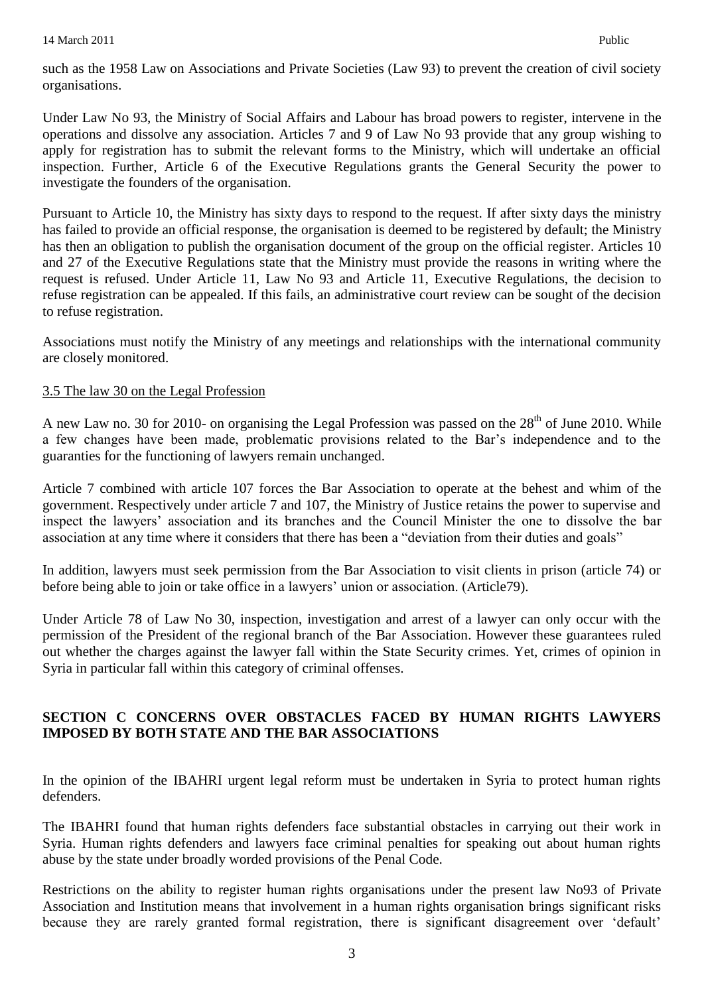such as the 1958 Law on Associations and Private Societies (Law 93) to prevent the creation of civil society organisations.

Under Law No 93, the Ministry of Social Affairs and Labour has broad powers to register, intervene in the operations and dissolve any association. Articles 7 and 9 of Law No 93 provide that any group wishing to apply for registration has to submit the relevant forms to the Ministry, which will undertake an official inspection. Further, Article 6 of the Executive Regulations grants the General Security the power to investigate the founders of the organisation.

Pursuant to Article 10, the Ministry has sixty days to respond to the request. If after sixty days the ministry has failed to provide an official response, the organisation is deemed to be registered by default; the Ministry has then an obligation to publish the organisation document of the group on the official register. Articles 10 and 27 of the Executive Regulations state that the Ministry must provide the reasons in writing where the request is refused. Under Article 11, Law No 93 and Article 11, Executive Regulations, the decision to refuse registration can be appealed. If this fails, an administrative court review can be sought of the decision to refuse registration.

Associations must notify the Ministry of any meetings and relationships with the international community are closely monitored.

# 3.5 The law 30 on the Legal Profession

A new Law no. 30 for 2010- on organising the Legal Profession was passed on the  $28<sup>th</sup>$  of June 2010. While a few changes have been made, problematic provisions related to the Bar"s independence and to the guaranties for the functioning of lawyers remain unchanged.

Article 7 combined with article 107 forces the Bar Association to operate at the behest and whim of the government. Respectively under article 7 and 107, the Ministry of Justice retains the power to supervise and inspect the lawyers' association and its branches and the Council Minister the one to dissolve the bar association at any time where it considers that there has been a "deviation from their duties and goals"

In addition, lawyers must seek permission from the Bar Association to visit clients in prison (article 74) or before being able to join or take office in a lawyers' union or association. (Article79).

Under Article 78 of Law No 30, inspection, investigation and arrest of a lawyer can only occur with the permission of the President of the regional branch of the Bar Association. However these guarantees ruled out whether the charges against the lawyer fall within the State Security crimes. Yet, crimes of opinion in Syria in particular fall within this category of criminal offenses.

# **SECTION C CONCERNS OVER OBSTACLES FACED BY HUMAN RIGHTS LAWYERS IMPOSED BY BOTH STATE AND THE BAR ASSOCIATIONS**

In the opinion of the IBAHRI urgent legal reform must be undertaken in Syria to protect human rights defenders.

The IBAHRI found that human rights defenders face substantial obstacles in carrying out their work in Syria. Human rights defenders and lawyers face criminal penalties for speaking out about human rights abuse by the state under broadly worded provisions of the Penal Code.

Restrictions on the ability to register human rights organisations under the present law No93 of Private Association and Institution means that involvement in a human rights organisation brings significant risks because they are rarely granted formal registration, there is significant disagreement over 'default'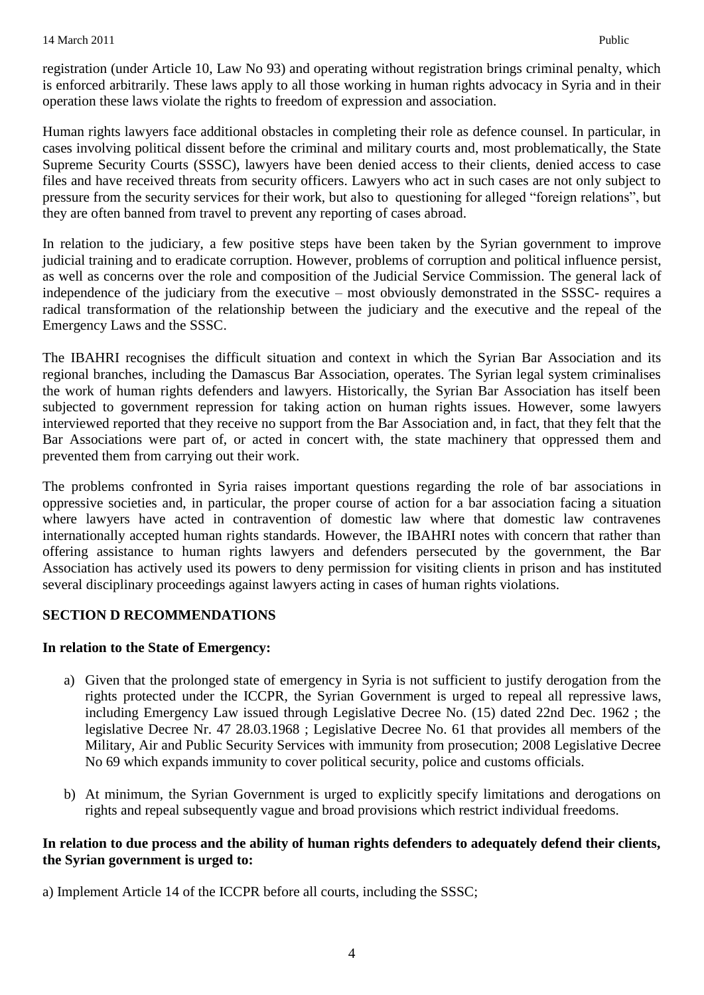registration (under Article 10, Law No 93) and operating without registration brings criminal penalty, which is enforced arbitrarily. These laws apply to all those working in human rights advocacy in Syria and in their operation these laws violate the rights to freedom of expression and association.

Human rights lawyers face additional obstacles in completing their role as defence counsel. In particular, in cases involving political dissent before the criminal and military courts and, most problematically, the State Supreme Security Courts (SSSC), lawyers have been denied access to their clients, denied access to case files and have received threats from security officers. Lawyers who act in such cases are not only subject to pressure from the security services for their work, but also to questioning for alleged "foreign relations", but they are often banned from travel to prevent any reporting of cases abroad.

In relation to the judiciary, a few positive steps have been taken by the Syrian government to improve judicial training and to eradicate corruption. However, problems of corruption and political influence persist, as well as concerns over the role and composition of the Judicial Service Commission. The general lack of independence of the judiciary from the executive – most obviously demonstrated in the SSSC- requires a radical transformation of the relationship between the judiciary and the executive and the repeal of the Emergency Laws and the SSSC.

The IBAHRI recognises the difficult situation and context in which the Syrian Bar Association and its regional branches, including the Damascus Bar Association, operates. The Syrian legal system criminalises the work of human rights defenders and lawyers. Historically, the Syrian Bar Association has itself been subjected to government repression for taking action on human rights issues. However, some lawyers interviewed reported that they receive no support from the Bar Association and, in fact, that they felt that the Bar Associations were part of, or acted in concert with, the state machinery that oppressed them and prevented them from carrying out their work.

The problems confronted in Syria raises important questions regarding the role of bar associations in oppressive societies and, in particular, the proper course of action for a bar association facing a situation where lawyers have acted in contravention of domestic law where that domestic law contravenes internationally accepted human rights standards. However, the IBAHRI notes with concern that rather than offering assistance to human rights lawyers and defenders persecuted by the government, the Bar Association has actively used its powers to deny permission for visiting clients in prison and has instituted several disciplinary proceedings against lawyers acting in cases of human rights violations.

# **SECTION D RECOMMENDATIONS**

# **In relation to the State of Emergency:**

- a) Given that the prolonged state of emergency in Syria is not sufficient to justify derogation from the rights protected under the ICCPR, the Syrian Government is urged to repeal all repressive laws, including Emergency Law issued through Legislative Decree No. (15) dated 22nd Dec. 1962 ; the legislative Decree Nr. 47 28.03.1968 ; Legislative Decree No. 61 that provides all members of the Military, Air and Public Security Services with immunity from prosecution; 2008 Legislative Decree No 69 which expands immunity to cover political security, police and customs officials.
- b) At minimum, the Syrian Government is urged to explicitly specify limitations and derogations on rights and repeal subsequently vague and broad provisions which restrict individual freedoms.

# **In relation to due process and the ability of human rights defenders to adequately defend their clients, the Syrian government is urged to:**

a) Implement Article 14 of the ICCPR before all courts, including the SSSC;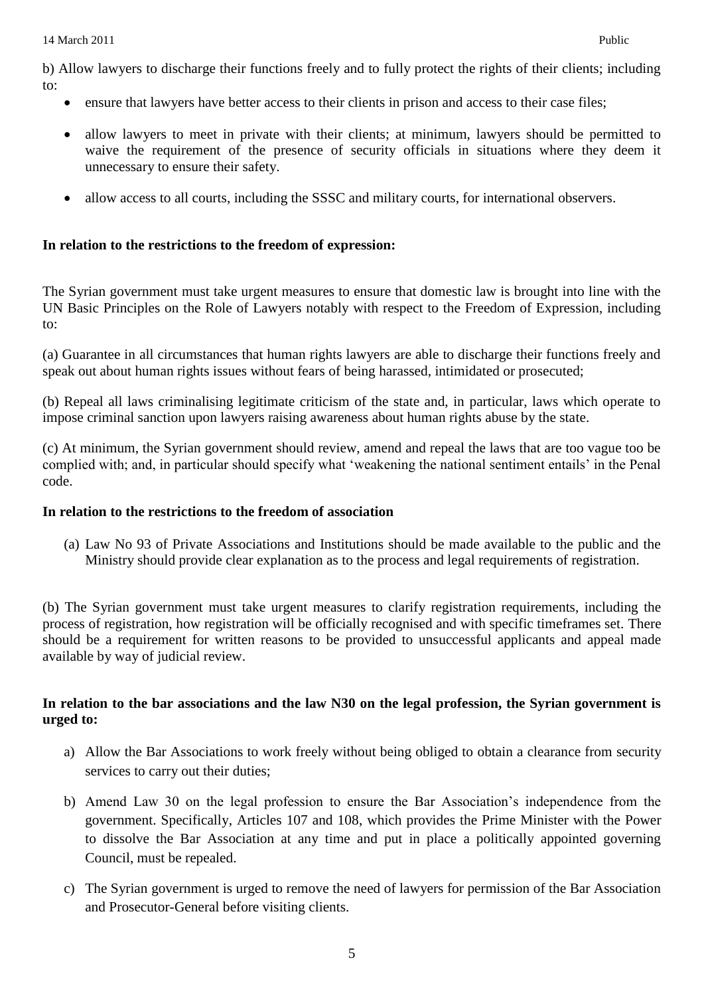b) Allow lawyers to discharge their functions freely and to fully protect the rights of their clients; including to:

- ensure that lawyers have better access to their clients in prison and access to their case files;
- allow lawyers to meet in private with their clients; at minimum, lawyers should be permitted to waive the requirement of the presence of security officials in situations where they deem it unnecessary to ensure their safety.
- allow access to all courts, including the SSSC and military courts, for international observers.

#### **In relation to the restrictions to the freedom of expression:**

The Syrian government must take urgent measures to ensure that domestic law is brought into line with the UN Basic Principles on the Role of Lawyers notably with respect to the Freedom of Expression, including to:

(a) Guarantee in all circumstances that human rights lawyers are able to discharge their functions freely and speak out about human rights issues without fears of being harassed, intimidated or prosecuted;

(b) Repeal all laws criminalising legitimate criticism of the state and, in particular, laws which operate to impose criminal sanction upon lawyers raising awareness about human rights abuse by the state.

(c) At minimum, the Syrian government should review, amend and repeal the laws that are too vague too be complied with; and, in particular should specify what "weakening the national sentiment entails" in the Penal code.

#### **In relation to the restrictions to the freedom of association**

(a) Law No 93 of Private Associations and Institutions should be made available to the public and the Ministry should provide clear explanation as to the process and legal requirements of registration.

(b) The Syrian government must take urgent measures to clarify registration requirements, including the process of registration, how registration will be officially recognised and with specific timeframes set. There should be a requirement for written reasons to be provided to unsuccessful applicants and appeal made available by way of judicial review.

#### **In relation to the bar associations and the law N30 on the legal profession, the Syrian government is urged to:**

- a) Allow the Bar Associations to work freely without being obliged to obtain a clearance from security services to carry out their duties;
- b) Amend Law 30 on the legal profession to ensure the Bar Association"s independence from the government. Specifically, Articles 107 and 108, which provides the Prime Minister with the Power to dissolve the Bar Association at any time and put in place a politically appointed governing Council, must be repealed.
- c) The Syrian government is urged to remove the need of lawyers for permission of the Bar Association and Prosecutor-General before visiting clients.